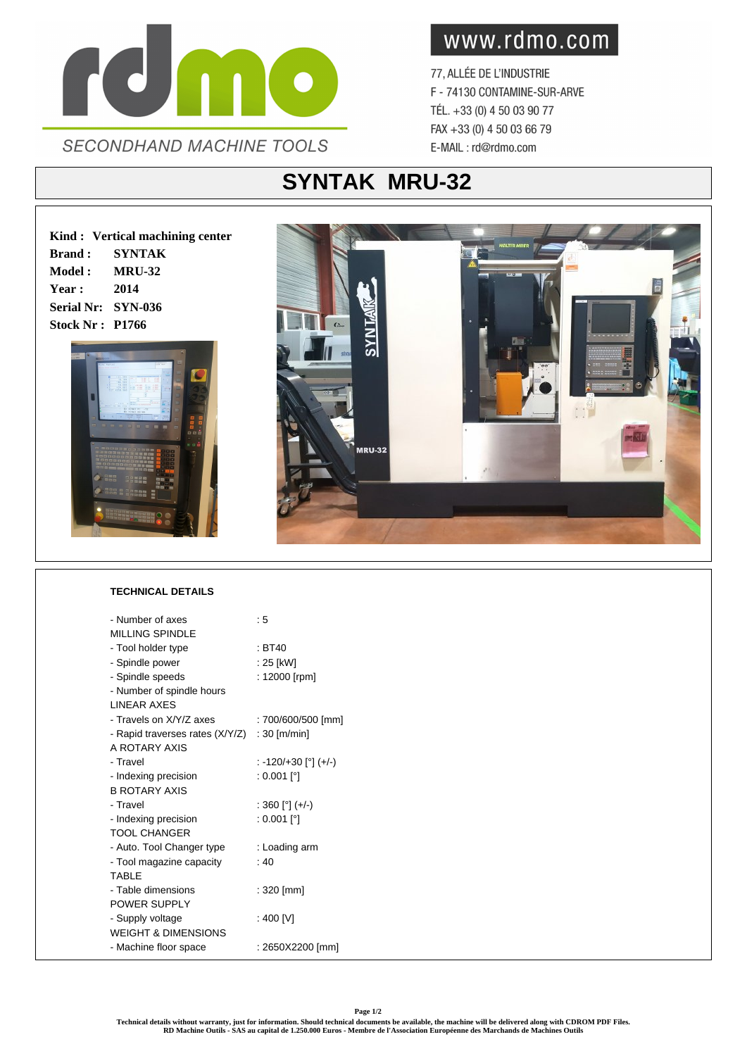

www.rdmo.com

77, ALLÉE DE L'INDUSTRIE F - 74130 CONTAMINE-SUR-ARVE TÉL. +33 (0) 4 50 03 90 77 FAX +33 (0) 4 50 03 66 79 E-MAIL: rd@rdmo.com

## **SYNTAK MRU-32**

**Kind : Vertical machining center Brand : SYNTAK Model : MRU-32 Year : 2014 Serial Nr: SYN-036 Stock Nr : P1766**





## **TECHNICAL DETAILS**

| - Number of axes                | : 5                  |
|---------------------------------|----------------------|
| MII I ING SPINDI F              |                      |
| - Tool holder type              | $\pm$ BT40           |
| - Spindle power                 | : 25 [kW]            |
| - Spindle speeds                | : 12000 [rpm]        |
| - Number of spindle hours       |                      |
| <b>I INFAR AXES</b>             |                      |
| - Travels on X/Y/Z axes         | : 700/600/500 [mm]   |
| - Rapid traverses rates (X/Y/Z) | $: 30$ [m/min]       |
| A ROTARY AXIS                   |                      |
| - Travel                        | : -120/+30 [°] (+/-) |
| - Indexing precision            | : 0.001 [°]          |
| <b>B ROTARY AXIS</b>            |                      |
| - Travel                        | : 360 [°] (+/-)      |
| - Indexing precision            | : 0.001 [°]          |
| TOOL CHANGER                    |                      |
| - Auto. Tool Changer type       | : Loading arm        |
| - Tool magazine capacity        | : 40                 |
| <b>TABIF</b>                    |                      |
| - Table dimensions              | : 320 [mm]           |
| POWER SUPPLY                    |                      |
| - Supply voltage                | : 400 [V]            |
| <b>WEIGHT &amp; DIMENSIONS</b>  |                      |
| - Machine floor space           | : 2650X2200 [mm]     |
|                                 |                      |